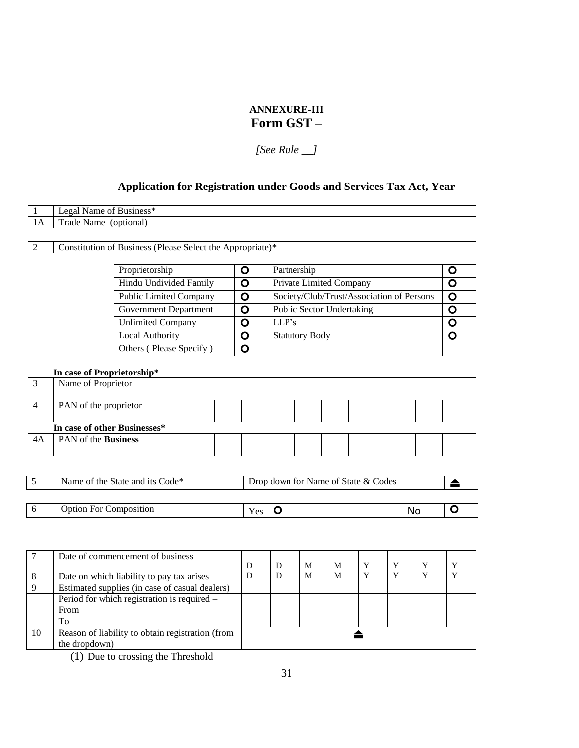# **ANNEXURE-III Form GST –**

*[See Rule \_\_]*

# **Application for Registration under Goods and Services Tax Act, Year**

|      | $\sim$ $\sim$ $\sim$<br>116ء<br>•чи. |  |
|------|--------------------------------------|--|
| 11 T | `rade_<br>Name<br>onuon              |  |

2 Constitution of Business (Please Select the Appropriate)\*

| Proprietorship                | O | Partnership                               |   |
|-------------------------------|---|-------------------------------------------|---|
| Hindu Undivided Family        | O | Private Limited Company                   |   |
| <b>Public Limited Company</b> | O | Society/Club/Trust/Association of Persons | O |
| Government Department         | O | <b>Public Sector Undertaking</b>          |   |
| <b>Unlimited Company</b>      | O | LI.P's                                    |   |
| Local Authority               | O | <b>Statutory Body</b>                     |   |
| Others (Please Specify)       |   |                                           |   |

#### **In case of Proprietorship\***

| Name of Proprietor           |  |  |  |  |  |
|------------------------------|--|--|--|--|--|
| PAN of the proprietor        |  |  |  |  |  |
| In case of other Businesses* |  |  |  |  |  |
| PAN of the <b>Business</b>   |  |  |  |  |  |

| Name of the State and its Code <sup>*</sup> | Drop down for Name of State & Codes |    |  |
|---------------------------------------------|-------------------------------------|----|--|
|                                             |                                     |    |  |
| <b>Option For Composition</b>               | Yes                                 | Nc |  |

|    | Date of commencement of business                 |   |   |   |              |              |  |
|----|--------------------------------------------------|---|---|---|--------------|--------------|--|
|    |                                                  | D | M | M | $\mathbf{v}$ | $\mathbf{v}$ |  |
|    | Date on which liability to pay tax arises        | D | M | M | $\bf v$      | $\mathbf v$  |  |
|    | Estimated supplies (in case of casual dealers)   |   |   |   |              |              |  |
|    | Period for which registration is required -      |   |   |   |              |              |  |
|    | From                                             |   |   |   |              |              |  |
|    | To                                               |   |   |   |              |              |  |
| 10 | Reason of liability to obtain registration (from |   |   |   |              |              |  |
|    | the dropdown)                                    |   |   |   |              |              |  |

(1) Due to crossing the Threshold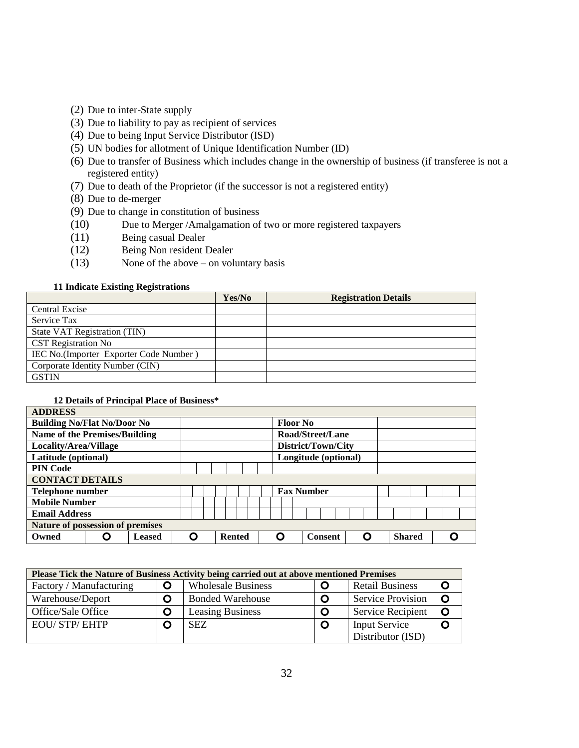- (2) Due to inter-State supply
- (3) Due to liability to pay as recipient of services
- (4) Due to being Input Service Distributor (ISD)
- (5) UN bodies for allotment of Unique Identification Number (ID)
- (6) Due to transfer of Business which includes change in the ownership of business (if transferee is not a registered entity)
- (7) Due to death of the Proprietor (if the successor is not a registered entity)
- (8) Due to de-merger
- (9) Due to change in constitution of business
- (10) Due to Merger /Amalgamation of two or more registered taxpayers
- (11) Being casual Dealer
- (12) Being Non resident Dealer
- (13) None of the above on voluntary basis

#### **11 Indicate Existing Registrations**

|                                        | Yes/No | <b>Registration Details</b> |
|----------------------------------------|--------|-----------------------------|
| <b>Central Excise</b>                  |        |                             |
| Service Tax                            |        |                             |
| State VAT Registration (TIN)           |        |                             |
| <b>CST</b> Registration No             |        |                             |
| IEC No.(Importer Exporter Code Number) |        |                             |
| Corporate Identity Number (CIN)        |        |                             |
| <b>GSTIN</b>                           |        |                             |

#### **12 Details of Principal Place of Business\***

| <b>ADDRESS</b>                       |        |  |  |               |  |   |                 |                      |  |   |               |  |  |
|--------------------------------------|--------|--|--|---------------|--|---|-----------------|----------------------|--|---|---------------|--|--|
| <b>Building No/Flat No/Door No</b>   |        |  |  |               |  |   | <b>Floor No</b> |                      |  |   |               |  |  |
| <b>Name of the Premises/Building</b> |        |  |  |               |  |   |                 | Road/Street/Lane     |  |   |               |  |  |
| Locality/Area/Village                |        |  |  |               |  |   |                 | District/Town/City   |  |   |               |  |  |
| Latitude (optional)                  |        |  |  |               |  |   |                 | Longitude (optional) |  |   |               |  |  |
| <b>PIN Code</b>                      |        |  |  |               |  |   |                 |                      |  |   |               |  |  |
| <b>CONTACT DETAILS</b>               |        |  |  |               |  |   |                 |                      |  |   |               |  |  |
| Telephone number                     |        |  |  |               |  |   |                 | <b>Fax Number</b>    |  |   |               |  |  |
| <b>Mobile Number</b>                 |        |  |  |               |  |   |                 |                      |  |   |               |  |  |
| <b>Email Address</b>                 |        |  |  |               |  |   |                 |                      |  |   |               |  |  |
| Nature of possession of premises     |        |  |  |               |  |   |                 |                      |  |   |               |  |  |
| Owned                                | Leased |  |  | <b>Rented</b> |  | О |                 | <b>Consent</b>       |  | C | <b>Shared</b> |  |  |

|                         |              | Please Tick the Nature of Business Activity being carried out at above mentioned Premises |   |                          |         |
|-------------------------|--------------|-------------------------------------------------------------------------------------------|---|--------------------------|---------|
| Factory / Manufacturing | $\mathbf{O}$ | <b>Wholesale Business</b>                                                                 |   | <b>Retail Business</b>   |         |
| Warehouse/Deport        | O            | <b>Bonded Warehouse</b>                                                                   | O | <b>Service Provision</b> | $\circ$ |
| Office/Sale Office      | O            | <b>Leasing Business</b>                                                                   |   | <b>Service Recipient</b> | O       |
| <b>EOU/STP/EHTP</b>     | O            | <b>SEZ</b>                                                                                | O | <b>Input Service</b>     |         |
|                         |              |                                                                                           |   | Distributor (ISD)        |         |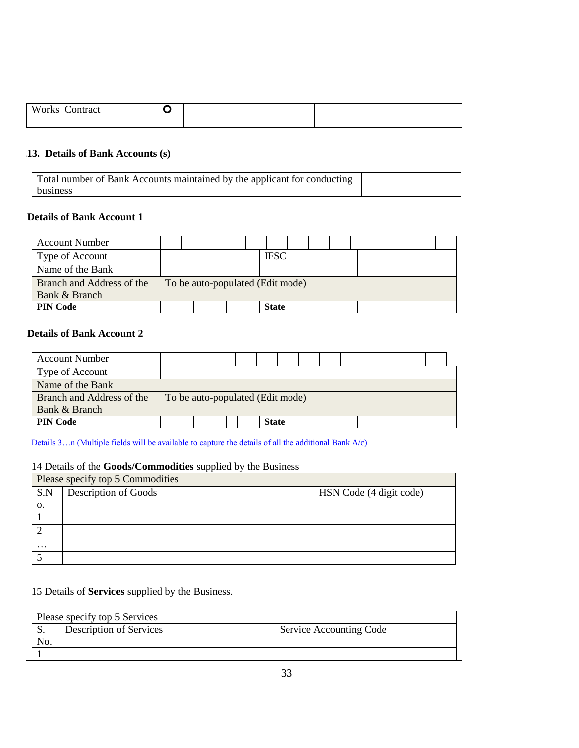| X<br>'orks<br>uract<br>ำก. |  |  |  |
|----------------------------|--|--|--|

# 13. Details of Bank Accounts (s)

| Total number of Bank Accounts maintained by the applicant for conducting |  |
|--------------------------------------------------------------------------|--|
| business                                                                 |  |

#### **12. Details of Bank Account 1**

| <b>Account Number</b>     |  |  |  |                                  |  |  |  |  |
|---------------------------|--|--|--|----------------------------------|--|--|--|--|
| Type of Account           |  |  |  | <b>IFSC</b>                      |  |  |  |  |
| Name of the Bank          |  |  |  |                                  |  |  |  |  |
| Branch and Address of the |  |  |  | To be auto-populated (Edit mode) |  |  |  |  |
| Bank & Branch             |  |  |  |                                  |  |  |  |  |
| <b>PIN Code</b>           |  |  |  | <b>State</b>                     |  |  |  |  |

# **15. Details of Bank Account 2**

| <b>Account Number</b>     |  |  |  |              |                                  |  |  |  |  |
|---------------------------|--|--|--|--------------|----------------------------------|--|--|--|--|
| Type of Account           |  |  |  |              |                                  |  |  |  |  |
| Name of the Bank          |  |  |  |              |                                  |  |  |  |  |
| Branch and Address of the |  |  |  |              | To be auto-populated (Edit mode) |  |  |  |  |
| Bank & Branch             |  |  |  |              |                                  |  |  |  |  |
| <b>PIN Code</b>           |  |  |  | <b>State</b> |                                  |  |  |  |  |

Details 3…n (Multiple fields will be available to capture the details of all the additional Bank A/c)

# 14 Details of the **Goods/Commodities** supplied by the Business

| Please specify top 5 Commodities |                      |                         |  |  |  |  |  |  |  |  |  |
|----------------------------------|----------------------|-------------------------|--|--|--|--|--|--|--|--|--|
| S.N                              | Description of Goods | HSN Code (4 digit code) |  |  |  |  |  |  |  |  |  |
| 0.                               |                      |                         |  |  |  |  |  |  |  |  |  |
|                                  |                      |                         |  |  |  |  |  |  |  |  |  |
|                                  |                      |                         |  |  |  |  |  |  |  |  |  |
| $\ddots$                         |                      |                         |  |  |  |  |  |  |  |  |  |
|                                  |                      |                         |  |  |  |  |  |  |  |  |  |

# 15 Details of **Services** supplied by the Business.

|     | Please specify top 5 Services |                         |  |  |  |  |  |  |  |  |  |  |
|-----|-------------------------------|-------------------------|--|--|--|--|--|--|--|--|--|--|
| IJ. | Description of Services       | Service Accounting Code |  |  |  |  |  |  |  |  |  |  |
| No. |                               |                         |  |  |  |  |  |  |  |  |  |  |
|     |                               |                         |  |  |  |  |  |  |  |  |  |  |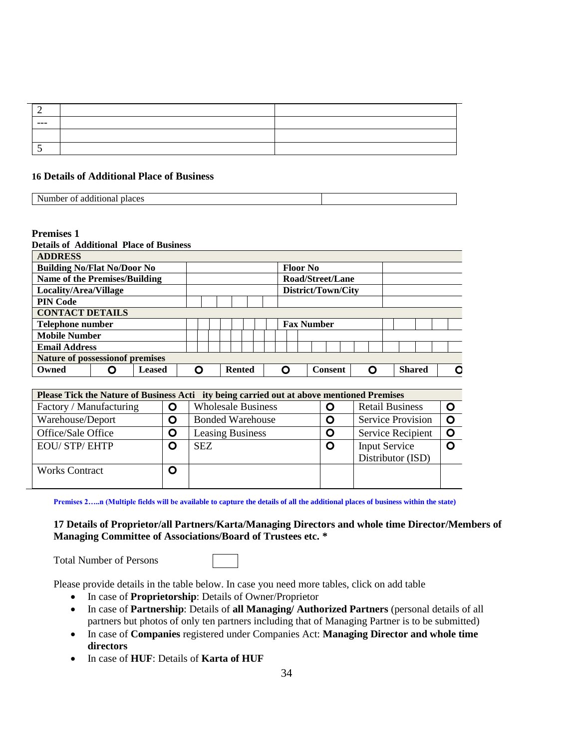| --- |  |
|-----|--|
|     |  |
|     |  |

#### **16 Details of Additional Place of Business**

| additional<br>Nr<br>umber of<br>. | places |  |
|-----------------------------------|--------|--|

### **Premises 1**

| <b>Details of Additional Place of Business</b> |   |               |   |  |               |  |                 |                    |   |               |   |
|------------------------------------------------|---|---------------|---|--|---------------|--|-----------------|--------------------|---|---------------|---|
| <b>ADDRESS</b>                                 |   |               |   |  |               |  |                 |                    |   |               |   |
| <b>Building No/Flat No/Door No</b>             |   |               |   |  |               |  | <b>Floor No</b> |                    |   |               |   |
| <b>Name of the Premises/Building</b>           |   |               |   |  |               |  |                 | Road/Street/Lane   |   |               |   |
| Locality/Area/Village                          |   |               |   |  |               |  |                 | District/Town/City |   |               |   |
| <b>PIN Code</b>                                |   |               |   |  |               |  |                 |                    |   |               |   |
| <b>CONTACT DETAILS</b>                         |   |               |   |  |               |  |                 |                    |   |               |   |
| Telephone number                               |   |               |   |  |               |  |                 | <b>Fax Number</b>  |   |               |   |
| <b>Mobile Number</b>                           |   |               |   |  |               |  |                 |                    |   |               |   |
| <b>Email Address</b>                           |   |               |   |  |               |  |                 |                    |   |               |   |
| <b>Nature of possession of premises</b>        |   |               |   |  |               |  |                 |                    |   |               |   |
| Owned                                          | 0 | <b>Leased</b> | O |  | <b>Rented</b> |  | O               | <b>Consent</b>     | Ω | <b>Shared</b> | O |

| Please Tick the Nature of Business Acti ity being carried out at above mentioned Premises |   |                           |   |                          |  |  |  |  |  |  |  |  |  |
|-------------------------------------------------------------------------------------------|---|---------------------------|---|--------------------------|--|--|--|--|--|--|--|--|--|
| Factory / Manufacturing                                                                   | O | <b>Wholesale Business</b> | O | <b>Retail Business</b>   |  |  |  |  |  |  |  |  |  |
| Warehouse/Deport                                                                          | O | <b>Bonded Warehouse</b>   | O | <b>Service Provision</b> |  |  |  |  |  |  |  |  |  |
| Office/Sale Office                                                                        | O | <b>Leasing Business</b>   | O | Service Recipient        |  |  |  |  |  |  |  |  |  |
| <b>EOU/ STP/ EHTP</b>                                                                     | O | <b>SEZ</b>                | O | <b>Input Service</b>     |  |  |  |  |  |  |  |  |  |
|                                                                                           |   |                           |   | Distributor (ISD)        |  |  |  |  |  |  |  |  |  |
| <b>Works Contract</b>                                                                     | O |                           |   |                          |  |  |  |  |  |  |  |  |  |
|                                                                                           |   |                           |   |                          |  |  |  |  |  |  |  |  |  |

**Premises 2…..n (Multiple fields will be available to capture the details of all the additional places of business within the state)**

## **17 Details of Proprietor/all Partners/Karta/Managing Directors and whole time Director/Members of Managing Committee of Associations/Board of Trustees etc. \***

Total Number of Persons

Please provide details in the table below. In case you need more tables, click on add table

- In case of **Proprietorship**: Details of Owner/Proprietor
- In case of **Partnership**: Details of **all Managing/ Authorized Partners** (personal details of all partners but photos of only ten partners including that of Managing Partner is to be submitted)
- In case of **Companies** registered under Companies Act: **Managing Director and whole time directors**
- In case of **HUF**: Details of **Karta of HUF**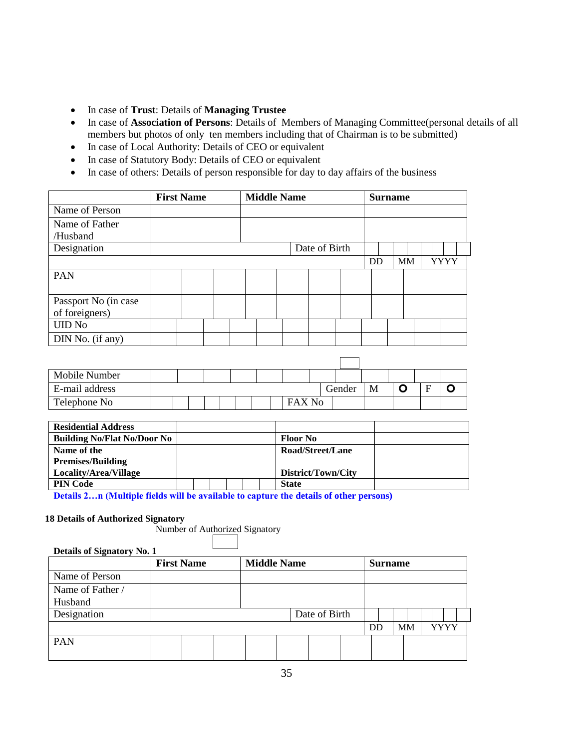- In case of **Trust**: Details of **Managing Trustee**
- In case of **Association of Persons**: Details of Members of Managing Committee(personal details of all members but photos of only ten members including that of Chairman is to be submitted)
- In case of Local Authority: Details of CEO or equivalent
- In case of Statutory Body: Details of CEO or equivalent
- In case of others: Details of person responsible for day to day affairs of the business

|                      | <b>First Name</b> |  | <b>Middle Name</b> |  |               |           | <b>Surname</b> |           |             |  |
|----------------------|-------------------|--|--------------------|--|---------------|-----------|----------------|-----------|-------------|--|
| Name of Person       |                   |  |                    |  |               |           |                |           |             |  |
| Name of Father       |                   |  |                    |  |               |           |                |           |             |  |
| /Husband             |                   |  |                    |  |               |           |                |           |             |  |
| Designation          |                   |  |                    |  | Date of Birth |           |                |           |             |  |
|                      |                   |  |                    |  |               | <b>DD</b> |                | <b>MM</b> | <b>YYYY</b> |  |
| PAN                  |                   |  |                    |  |               |           |                |           |             |  |
|                      |                   |  |                    |  |               |           |                |           |             |  |
| Passport No (in case |                   |  |                    |  |               |           |                |           |             |  |
| of foreigners)       |                   |  |                    |  |               |           |                |           |             |  |
| <b>UID No</b>        |                   |  |                    |  |               |           |                |           |             |  |
| DIN No. (if any)     |                   |  |                    |  |               |           |                |           |             |  |
|                      |                   |  |                    |  |               |           |                |           |             |  |

| Mobile Number  |  |  |  |  |        |        |   |  |  |
|----------------|--|--|--|--|--------|--------|---|--|--|
| E-mail address |  |  |  |  |        | Gender | M |  |  |
| Telephone No   |  |  |  |  | FAX No |        |   |  |  |

| <b>Residential Address</b>         |  |  |  |                    |  |
|------------------------------------|--|--|--|--------------------|--|
| <b>Building No/Flat No/Door No</b> |  |  |  | <b>Floor No</b>    |  |
| Name of the                        |  |  |  | Road/Street/Lane   |  |
| <b>Premises/Building</b>           |  |  |  |                    |  |
| Locality/Area/Village              |  |  |  | District/Town/City |  |
| <b>PIN Code</b>                    |  |  |  | <b>State</b>       |  |

**Details 2…n (Multiple fields will be available to capture the details of other persons)**

#### **18 Details of Authorized Signatory** Number of Authorized Signatory

| Details of Signatory No. 1 |                   |  |                    |  |               |  |                |           |      |
|----------------------------|-------------------|--|--------------------|--|---------------|--|----------------|-----------|------|
|                            | <b>First Name</b> |  | <b>Middle Name</b> |  |               |  | <b>Surname</b> |           |      |
| Name of Person             |                   |  |                    |  |               |  |                |           |      |
| Name of Father /           |                   |  |                    |  |               |  |                |           |      |
| Husband                    |                   |  |                    |  |               |  |                |           |      |
| Designation                |                   |  |                    |  | Date of Birth |  |                |           |      |
|                            |                   |  |                    |  |               |  | DD             | <b>MM</b> | YYYY |
| <b>PAN</b>                 |                   |  |                    |  |               |  |                |           |      |
|                            |                   |  |                    |  |               |  |                |           |      |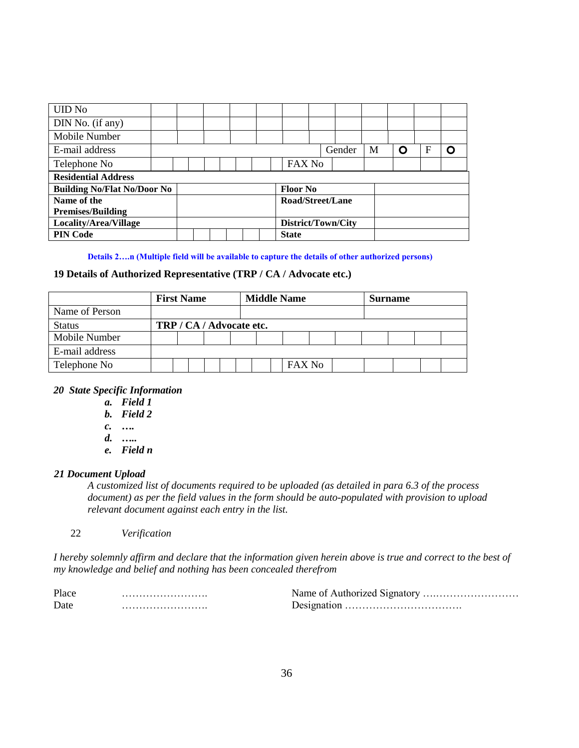| <b>UID No</b>                      |  |  |  |  |                    |        |   |   |   |   |
|------------------------------------|--|--|--|--|--------------------|--------|---|---|---|---|
| DIN No. (if any)                   |  |  |  |  |                    |        |   |   |   |   |
| Mobile Number                      |  |  |  |  |                    |        |   |   |   |   |
| E-mail address                     |  |  |  |  |                    | Gender | M | n | F | Ο |
| Telephone No                       |  |  |  |  | FAX No             |        |   |   |   |   |
| <b>Residential Address</b>         |  |  |  |  |                    |        |   |   |   |   |
| <b>Building No/Flat No/Door No</b> |  |  |  |  | <b>Floor No</b>    |        |   |   |   |   |
| Name of the                        |  |  |  |  | Road/Street/Lane   |        |   |   |   |   |
| <b>Premises/Building</b>           |  |  |  |  |                    |        |   |   |   |   |
| Locality/Area/Village              |  |  |  |  | District/Town/City |        |   |   |   |   |
| <b>PIN Code</b>                    |  |  |  |  | <b>State</b>       |        |   |   |   |   |

**Details 2….n (Multiple field will be available to capture the details of other authorized persons)**

#### **19 Details of Authorized Representative (TRP / CA / Advocate etc.)**

|                | <b>First Name</b> |                          |  | <b>Middle Name</b> |  | Surname       |  |  |  |  |  |  |
|----------------|-------------------|--------------------------|--|--------------------|--|---------------|--|--|--|--|--|--|
| Name of Person |                   |                          |  |                    |  |               |  |  |  |  |  |  |
| <b>Status</b>  |                   | TRP / CA / Advocate etc. |  |                    |  |               |  |  |  |  |  |  |
| Mobile Number  |                   |                          |  |                    |  |               |  |  |  |  |  |  |
| E-mail address |                   |                          |  |                    |  |               |  |  |  |  |  |  |
| Telephone No   |                   |                          |  |                    |  | <b>FAX No</b> |  |  |  |  |  |  |

## *20 State Specific Information*

- *a. Field 1*
- *b. Field 2*
- *c. ….*
- *d. …..*
- *e. Field n*

#### *21 Document Upload*

*A customized list of documents required to be uploaded (as detailed in para 6.3 of the process document) as per the field values in the form should be auto-populated with provision to upload relevant document against each entry in the list.* 

22 *Verification* 

*I hereby solemnly affirm and declare that the information given herein above is true and correct to the best of my knowledge and belief and nothing has been concealed therefrom*

| Place | Name of Authorized Signatory |
|-------|------------------------------|
| Date  |                              |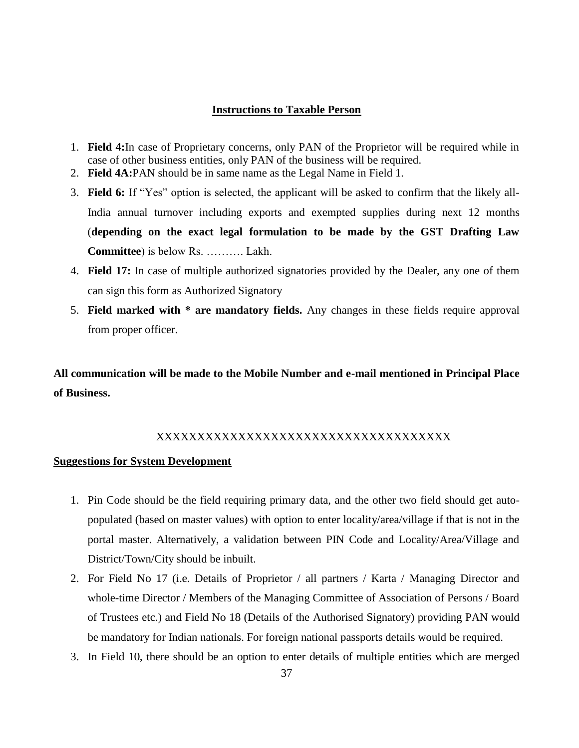## **Instructions to Taxable Person**

- 1. **Field 4:**In case of Proprietary concerns, only PAN of the Proprietor will be required while in case of other business entities, only PAN of the business will be required.
- 2. **Field 4A:**PAN should be in same name as the Legal Name in Field 1.
- 3. **Field 6:** If "Yes" option is selected, the applicant will be asked to confirm that the likely all-India annual turnover including exports and exempted supplies during next 12 months (**depending on the exact legal formulation to be made by the GST Drafting Law Committee**) is below Rs. ………. Lakh.
- 4. **Field 17:** In case of multiple authorized signatories provided by the Dealer, any one of them can sign this form as Authorized Signatory
- 5. **Field marked with \* are mandatory fields.** Any changes in these fields require approval from proper officer.

**All communication will be made to the Mobile Number and e-mail mentioned in Principal Place of Business.**

# XXXXXXXXXXXXXXXXXXXXXXXXXXXXXXXXXXXX

#### **Suggestions for System Development**

- 1. Pin Code should be the field requiring primary data, and the other two field should get autopopulated (based on master values) with option to enter locality/area/village if that is not in the portal master. Alternatively, a validation between PIN Code and Locality/Area/Village and District/Town/City should be inbuilt.
- 2. For Field No 17 (i.e. Details of Proprietor / all partners / Karta / Managing Director and whole-time Director / Members of the Managing Committee of Association of Persons / Board of Trustees etc.) and Field No 18 (Details of the Authorised Signatory) providing PAN would be mandatory for Indian nationals. For foreign national passports details would be required.
- 3. In Field 10, there should be an option to enter details of multiple entities which are merged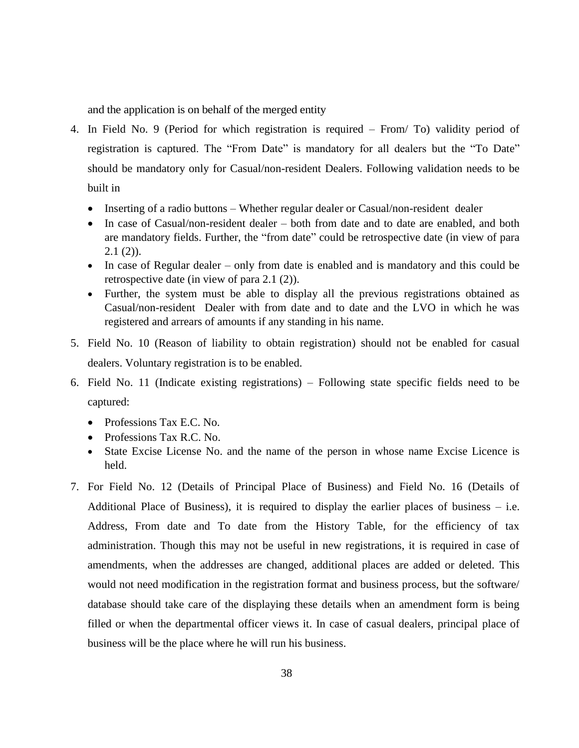and the application is on behalf of the merged entity

- 4. In Field No. 9 (Period for which registration is required From/ To) validity period of registration is captured. The "From Date" is mandatory for all dealers but the "To Date" should be mandatory only for Casual/non-resident Dealers. Following validation needs to be built in
	- Inserting of a radio buttons Whether regular dealer or Casual/non-resident dealer
	- In case of Casual/non-resident dealer both from date and to date are enabled, and both are mandatory fields. Further, the "from date" could be retrospective date (in view of para  $2.1(2)$ ).
	- In case of Regular dealer only from date is enabled and is mandatory and this could be retrospective date (in view of para 2.1 (2)).
	- Further, the system must be able to display all the previous registrations obtained as Casual/non-resident Dealer with from date and to date and the LVO in which he was registered and arrears of amounts if any standing in his name.
- 5. Field No. 10 (Reason of liability to obtain registration) should not be enabled for casual dealers. Voluntary registration is to be enabled.
- 6. Field No. 11 (Indicate existing registrations) Following state specific fields need to be captured:
	- Professions Tax E.C. No.
	- Professions Tax R.C. No.
	- State Excise License No. and the name of the person in whose name Excise Licence is held.
- 7. For Field No. 12 (Details of Principal Place of Business) and Field No. 16 (Details of Additional Place of Business), it is required to display the earlier places of business  $-$  i.e. Address, From date and To date from the History Table, for the efficiency of tax administration. Though this may not be useful in new registrations, it is required in case of amendments, when the addresses are changed, additional places are added or deleted. This would not need modification in the registration format and business process, but the software/ database should take care of the displaying these details when an amendment form is being filled or when the departmental officer views it. In case of casual dealers, principal place of business will be the place where he will run his business.